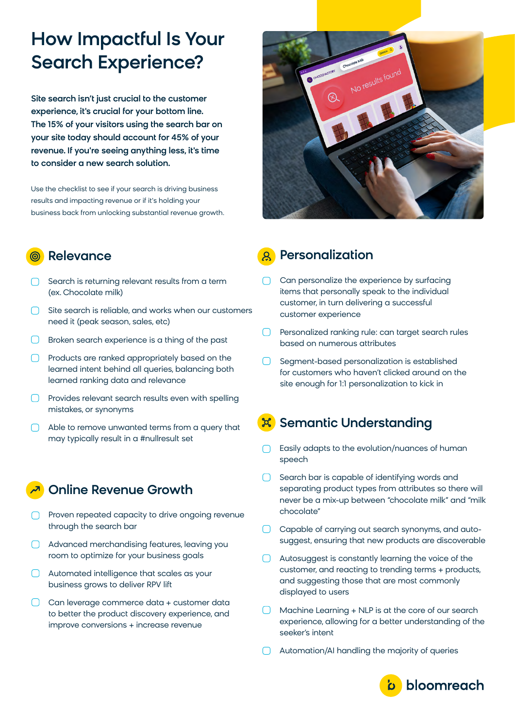# How Impactful Is Your Search Experience?

Site search isn't just crucial to the customer experience, it's crucial for your bottom line. The 15% of your visitors using the search bar on your site today should account for 45% of your revenue. If you're seeing anything less, it's time to consider a new search solution.

Use the checklist to see if your search is driving business results and impacting revenue or if it's holding your business back from unlocking substantial revenue growth.

## Relevance

- $\bigcap$  Search is returning relevant results from a term (ex. Chocolate milk)
- $\bigcap$  Site search is reliable, and works when our customers need it (peak season, sales, etc)
- **Broken search experience is a thing of the past**
- Products are ranked appropriately based on the learned intent behind all queries, balancing both learned ranking data and relevance
- $\Box$  Provides relevant search results even with spelling mistakes, or synonyms
- Able to remove unwanted terms from a query that may typically result in a #nullresult set

## Online Revenue Growth

- **Proven repeated capacity to drive ongoing revenue** through the search bar
- Advanced merchandising features, leaving you room to optimize for your business goals
- Automated intelligence that scales as your business grows to deliver RPV lift
- C Can leverage commerce data + customer data to better the product discovery experience, and improve conversions + increase revenue



# Personalization

- Can personalize the experience by surfacing items that personally speak to the individual customer, in turn delivering a successful customer experience
- $\Box$ Personalized ranking rule: can target search rules based on numerous attributes
- Segment-based personalization is established for customers who haven't clicked around on the site enough for 1:1 personalization to kick in

# Semantic Understanding

- Easily adapts to the evolution/nuances of human speech
- Search bar is capable of identifying words and separating product types from attributes so there will never be a mix-up between "chocolate milk" and "milk chocolate"
- Capable of carrying out search synonyms, and autosuggest, ensuring that new products are discoverable
- Autosuggest is constantly learning the voice of the customer, and reacting to trending terms + products, and suggesting those that are most commonly displayed to users
- Machine Learning + NLP is at the core of our search  $\Box$ experience, allowing for a better understanding of the seeker's intent
- **C** Automation/AI handling the majority of queries